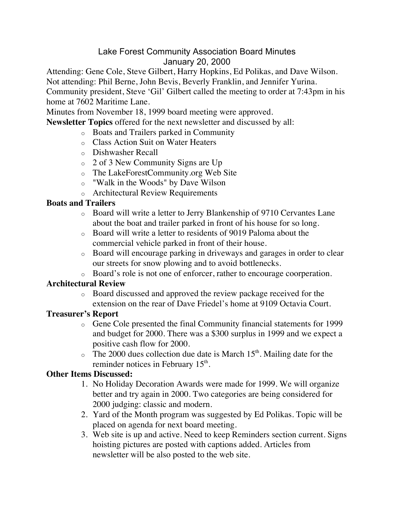# Lake Forest Community Association Board Minutes January 20, 2000

Attending: Gene Cole, Steve Gilbert, Harry Hopkins, Ed Polikas, and Dave Wilson.

Not attending: Phil Berne, John Bevis, Beverly Franklin, and Jennifer Yurina.

Community president, Steve 'Gil' Gilbert called the meeting to order at 7:43pm in his home at 7602 Maritime Lane.

Minutes from November 18, 1999 board meeting were approved.

**Newsletter Topics** offered for the next newsletter and discussed by all:

- o Boats and Trailers parked in Community
- o Class Action Suit on Water Heaters
- o Dishwasher Recall
- o 2 of 3 New Community Signs are Up
- o The LakeForestCommunity.org Web Site
- o "Walk in the Woods" by Dave Wilson
- o Architectural Review Requirements

# **Boats and Trailers**

- o Board will write a letter to Jerry Blankenship of 9710 Cervantes Lane about the boat and trailer parked in front of his house for so long.
- o Board will write a letter to residents of 9019 Paloma about the commercial vehicle parked in front of their house.
- o Board will encourage parking in driveways and garages in order to clear our streets for snow plowing and to avoid bottlenecks.
- o Board's role is not one of enforcer, rather to encourage coorperation.

# **Architectural Review**

o Board discussed and approved the review package received for the extension on the rear of Dave Friedel's home at 9109 Octavia Court.

# **Treasurer's Report**

- o Gene Cole presented the final Community financial statements for 1999 and budget for 2000. There was a \$300 surplus in 1999 and we expect a positive cash flow for 2000.
- $\circ$  The 2000 dues collection due date is March 15<sup>th</sup>. Mailing date for the reminder notices in February 15<sup>th</sup>.

# **Other Items Discussed:**

- 1. No Holiday Decoration Awards were made for 1999. We will organize better and try again in 2000. Two categories are being considered for 2000 judging: classic and modern.
- 2. Yard of the Month program was suggested by Ed Polikas. Topic will be placed on agenda for next board meeting.
- 3. Web site is up and active. Need to keep Reminders section current. Signs hoisting pictures are posted with captions added. Articles from newsletter will be also posted to the web site.